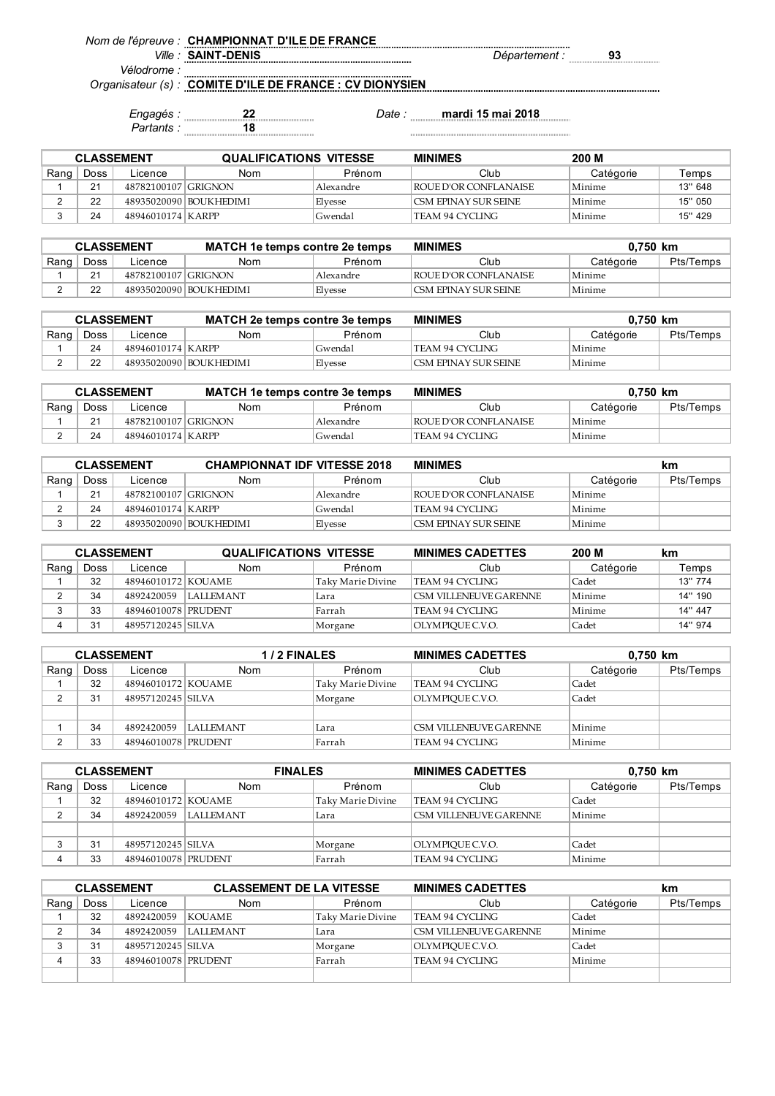*Nom de l'épreuve :* **CHAMPIONNAT D'ILE DE FRANCE**

*Ville : Département :* **93 SAINT-DENIS**

*Vélodrome :*

*Organisateur (s) :* **COMITE D'ILE DE FRANCE : CV DIONYSIEN**

> *Engagés :* **22** *Date :* **mardi 15 mai 2018** *Partants :* **18**

| <b>CLASSEMENT</b> |      |                     | <b>QUALIFICATIONS VITESSE</b> |           | <b>MINIMES</b>         | 200 M     |         |
|-------------------|------|---------------------|-------------------------------|-----------|------------------------|-----------|---------|
| Rang              | Doss | Licence             | Nom                           | Prénom    | Club                   | Catégorie | Temps   |
|                   | 21   | 48782100107 GRIGNON |                               | Alexandre | ROUE D'OR CONFLANAISE  | Minime    | 13" 648 |
|                   | つつ   |                     | 489350200901BOUKHEDIMI        | Elvesse   | I CSM EPINAY SUR SEINE | Minime    | 15" 050 |
|                   | 24   | 48946010174 KARPP   |                               | Gwendal   | TEAM 94 CYCLING        | Minime    | 15" 429 |

| <b>CLASSEMENT</b> |      |                     | <b>MATCH 1e temps contre 2e temps</b> |           | <b>MINIMES</b>                 |           | 0.750 km  |
|-------------------|------|---------------------|---------------------------------------|-----------|--------------------------------|-----------|-----------|
| Rang              | Doss | Licence             | Nom                                   | Prénom    | Club                           | Catégorie | Pts/Temps |
|                   |      | 48782100107 GRIGNON |                                       | Alexandre | <b>I ROUE D'OR CONFLANAISE</b> | Minime    |           |
|                   |      |                     | 48935020090 BOUKHEDIMI                | Elvesse   | I CSM EPINAY SUR SEINE         | Minime    |           |

| <b>CLASSEMENT</b> |      |                     | <b>MATCH 2e temps contre 3e temps</b> |         | <b>MINIMES</b>        | $0.750$ km |           |
|-------------------|------|---------------------|---------------------------------------|---------|-----------------------|------------|-----------|
| Rang              | Doss | Licence             | Nom                                   | Prénom  | Club                  | Catégorie  | Pts/Temps |
|                   | 24   | 48946010174   KARPP |                                       | Gwendal | 'TEAM 94 CYCLING      | Minime     |           |
|                   |      |                     | 48935020090 BOUKHEDIMI                | Elvesse | LCSM EPINAY SUR SEINE | Minime     |           |

| <b>CLASSEMENT</b> |      |                     | <b>MATCH 1e temps contre 3e temps</b> |           | <b>MINIMES</b>                 |           | 0.750 km  |
|-------------------|------|---------------------|---------------------------------------|-----------|--------------------------------|-----------|-----------|
| Rang              | Doss | Licence             | Nom                                   | Prénom    | Club                           | Catégorie | Pts/Temps |
|                   | 21   | 48782100107 GRIGNON |                                       | Alexandre | <b>I ROUE D'OR CONFLANAISE</b> | Minime    |           |
|                   |      | 48946010174 KARPP   |                                       | Gwendal   | ' TEAM 94 CYCLING              | Minime    |           |

| <b>CLASSEMENT</b> |      |                     | <b>CHAMPIONNAT IDF VITESSE 2018</b> |           | <b>MINIMES</b>          |           | km        |
|-------------------|------|---------------------|-------------------------------------|-----------|-------------------------|-----------|-----------|
| Rang              | Doss | Licence             | Nom                                 | Prénom    | Club                    | Catégorie | Pts/Temps |
|                   | 21   | 48782100107 GRIGNON |                                     | Alexandre | ' ROUE D'OR CONFLANAISE | Minime    |           |
|                   | 24   | 48946010174   KARPP |                                     | Gwendal   | TEAM 94 CYCLING         | Minime    |           |
|                   |      |                     | 48935020090 BOUKHEDIMI              | Elvesse   | 'CSM EPINAY SUR SEINE   | Minime    |           |

| <b>CLASSEMENT</b> |      |                     | <b>QUALIFICATIONS VITESSE</b> |                   | <b>MINIMES CADETTES</b>       | 200 M     | km      |
|-------------------|------|---------------------|-------------------------------|-------------------|-------------------------------|-----------|---------|
| Rang              | Doss | Licence             | Nom                           | Prénom            | Club                          | Catégorie | Temps   |
|                   | 32   | 48946010172 KOUAME  |                               | Taky Marie Divine | TEAM 94 CYCLING               | Cadet     | 13" 774 |
|                   | 34   | 4892420059          | I LAI I EM ANT                | Lara              | <b>CSM VILLENEUVE GARENNE</b> | Minime    | 14" 190 |
|                   | 33   | 48946010078 PRUDENT |                               | Farrah            | TEAM 94 CYCLING               | Minime    | 14" 447 |
|                   | 31   | 48957120245 SILVA   |                               | Morgane           | OLYMPIOUE C.V.O.              | Cadet     | 14" 974 |

|      | <b>CLASSEMENT</b> |                     | 1/2 FINALES      |                   | <b>MINIMES CADETTES</b> | 0,750 km  |           |
|------|-------------------|---------------------|------------------|-------------------|-------------------------|-----------|-----------|
| Rang | Doss              | Licence             | Nom              | Prénom            | Club                    | Catégorie | Pts/Temps |
|      | 32                | 48946010172 KOUAME  |                  | Taky Marie Divine | TEAM 94 CYCLING         | Cadet     |           |
|      | 31                | 48957120245 SILVA   |                  | Morgane           | OLYMPIOUE C.V.O.        | Cadet     |           |
|      |                   |                     |                  |                   |                         |           |           |
|      | 34                | 4892420059          | <b>LALLEMANT</b> | Lara              | CSM VILLENEUVE GARENNE  | Minime    |           |
|      | 33                | 48946010078 PRUDENT |                  | Farrah            | TEAM 94 CYCLING         | Minime    |           |

|      | <b>CLASSEMENT</b> |                     | <b>FINALES</b> |                   | <b>MINIMES CADETTES</b> | 0,750 km  |           |
|------|-------------------|---------------------|----------------|-------------------|-------------------------|-----------|-----------|
| Rang | Doss              | Licence             | Nom            | Prénom            | Club                    | Catégorie | Pts/Temps |
|      | 32                | 48946010172 KOUAME  |                | Taky Marie Divine | TEAM 94 CYCLING         | Cadet     |           |
|      | 34                | 4892420059          | I ALLEMANT     | Lara              | CSM VILLENEUVE GARENNE  | Minime    |           |
|      |                   |                     |                |                   |                         |           |           |
|      | 31                | 48957120245 SILVA   |                | Morgane           | OLYMPIOUE C.V.O.        | Cadet     |           |
|      | 33                | 48946010078 PRUDENT |                | Farrah            | TEAM 94 CYCLING         | Minime    |           |

|      | <b>CLASSEMENT</b> |                     | <b>CLASSEMENT DE LA VITESSE</b> |                   | <b>MINIMES CADETTES</b> |           | km        |  |
|------|-------------------|---------------------|---------------------------------|-------------------|-------------------------|-----------|-----------|--|
| Rang | Doss              | Licence             | Nom                             | Prénom            | Club                    | Catégorie | Pts/Temps |  |
|      | 32                | 4892420059          | <b>KOUAME</b>                   | Taky Marie Divine | TEAM 94 CYCLING         | Cadet     |           |  |
|      | 34                | 4892420059          | <b>LALLEMANT</b>                | Lara              | CSM VILLENEUVE GARENNE  | Minime    |           |  |
|      | 31                | 48957120245 SILVA   |                                 | Morgane           | OLYMPIOUE C.V.O.        | Cadet     |           |  |
|      | 33                | 48946010078 PRUDENT |                                 | Farrah            | TEAM 94 CYCLING         | Minime    |           |  |
|      |                   |                     |                                 |                   |                         |           |           |  |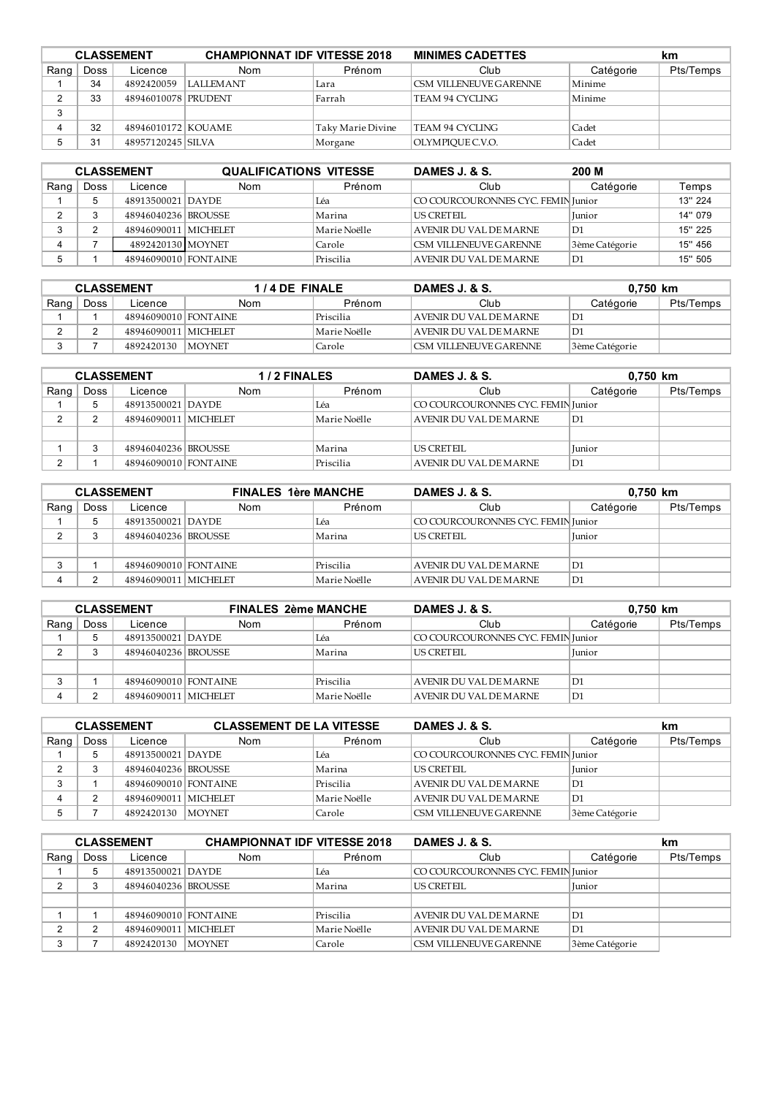|      | <b>CLASSEMENT</b> |                      | <b>CHAMPIONNAT IDF VITESSE 2018</b> |                   | <b>MINIMES CADETTES</b> |           | km        |
|------|-------------------|----------------------|-------------------------------------|-------------------|-------------------------|-----------|-----------|
| Rang | Doss              | Licence              | Nom                                 | Prénom            | Club                    | Catégorie | Pts/Temps |
|      | 34                | 4892420059           | I ALLEMANT                          | Lara              | CSM VILLENEUVE GARENNE  | Minime    |           |
|      | 33                | 48946010078 PRUDENT  |                                     | Farrah            | TEAM 94 CYCLING         | Minime    |           |
| ◠    |                   |                      |                                     |                   |                         |           |           |
|      | 32                | 48946010172   KOUAME |                                     | Taky Marie Divine | TEAM 94 CYCLING         | Cadet     |           |
|      | 31                | 48957120245 SILVA    |                                     | Morgane           | OLYMPIOUE C.V.O.        | Cadet     |           |

| <b>CLASSEMENT</b> |      |                        | <b>QUALIFICATIONS VITESSE</b> |              | 200 M<br>DAMES J. & S.             |                |         |
|-------------------|------|------------------------|-------------------------------|--------------|------------------------------------|----------------|---------|
| Rang              | Doss | Licence                | Nom                           | Prénom       | Club                               | Catégorie      | Temps   |
|                   |      | 48913500021 DAYDE      |                               | Léa          | CO COURCOURONNES CYC. FEMIN Junior |                | 13" 224 |
|                   |      | 48946040236 BROUSSE    |                               | Marina       | <b>US CRETEIL</b>                  | Iunior         | 14" 079 |
|                   |      | 48946090011   MICHELET |                               | Marie Noëlle | AVENIR DU VAL DE MARNE             | l D1           | 15" 225 |
|                   |      | 4892420130 MOYNET      |                               | Carole       | <b>CSM VILLENEUVE GARENNE</b>      | 3ème Catégorie | 15" 456 |
|                   |      | 48946090010 FONTAINE   |                               | Priscilia    | AVENIR DU VAL DE MARNE             | D1             | 15" 505 |

| <b>CLASSEMENT</b> |      |                      | 1/4 DE FINALE |              | DAMES J. & S.                 | 0.750 km       |           |
|-------------------|------|----------------------|---------------|--------------|-------------------------------|----------------|-----------|
| Rang              | Doss | Licence              | Nom           | Prénom       | Club                          | Catégorie      | Pts/Temps |
|                   |      | 48946090010 FONTAINE |               | Priscilia    | AVENIR DU VAL DE MARNE        | D1             |           |
|                   |      | 48946090011 MICHELET |               | Marie Noëlle | AVENIR DU VAL DE MARNE        | D1             |           |
|                   |      | 4892420130   MOYNET  |               | Carole       | <b>CSM VILLENEUVE GARENNE</b> | 3ème Catégorie |           |

| <b>CLASSEMENT</b> |      |                      | 1/2 FINALES |              | DAMES J. & S.<br>0,750 km          |           |           |
|-------------------|------|----------------------|-------------|--------------|------------------------------------|-----------|-----------|
| Rang              | Doss | Licence              | <b>Nom</b>  | Prénom       | Club                               | Catégorie | Pts/Temps |
|                   |      | 48913500021 DAYDE    |             | Léa          | CO COURCOURONNES CYC. FEMIN Junior |           |           |
|                   |      | 48946090011 MICHELET |             | Marie Noëlle | AVENIR DU VAL DE MARNE             | D1        |           |
|                   |      |                      |             |              |                                    |           |           |
|                   |      | 48946040236 BROUSSE  |             | Marina       | <b>US CRETEIL</b>                  | Junior    |           |
| ົ                 |      | 48946090010 FONTAINE |             | Priscilia    | AVENIR DU VAL DE MARNE             | D1        |           |

| <b>CLASSEMENT</b> |      |                      | <b>FINALES 1ère MANCHE</b> |              | DAMES J. & S.                      |           | 0,750 km  |
|-------------------|------|----------------------|----------------------------|--------------|------------------------------------|-----------|-----------|
| Rang              | Doss | Licence              | Nom                        | Prénom       | Club                               | Catégorie | Pts/Temps |
|                   |      | 48913500021 DAYDE    |                            | Léa          | CO COURCOURONNES CYC. FEMIN Junior |           |           |
|                   |      | 48946040236 BROUSSE  |                            | Marina       | US CRETEIL                         | Iunior    |           |
|                   |      |                      |                            |              |                                    |           |           |
| ◠                 |      | 48946090010 FONTAINE |                            | Priscilia    | AVENIR DU VAL DE MARNE             | D1        |           |
|                   |      | 48946090011 MICHELET |                            | Marie Noëlle | AVENIR DU VAL DE MARNE             | D1        |           |

| <b>CLASSEMENT</b> |      |                      | <b>FINALES 2ème MANCHE</b> |              | DAMES J. & S.<br>0,750 km          |               |           |
|-------------------|------|----------------------|----------------------------|--------------|------------------------------------|---------------|-----------|
| Rang              | Doss | Licence              | Nom                        | Prénom       | Club                               | Catégorie     | Pts/Temps |
|                   |      | 48913500021 DAYDE    |                            | Léa          | CO COURCOURONNES CYC. FEMIN Junior |               |           |
|                   |      | 48946040236 BROUSSE  |                            | Marina       | <b>US CRETEIL</b>                  | <b>Iunior</b> |           |
|                   |      |                      |                            |              |                                    |               |           |
| ◠                 |      | 48946090010 FONTAINE |                            | Priscilia    | AVENIR DU VAL DE MARNE             | D1            |           |
|                   |      | 48946090011 MICHELET |                            | Marie Noëlle | AVENIR DU VAL DE MARNE             | D1            |           |

| <b>CLASSEMENT</b> |      |                      | <b>CLASSEMENT DE LA VITESSE</b> |              | DAMES J. & S.                      |                | km        |
|-------------------|------|----------------------|---------------------------------|--------------|------------------------------------|----------------|-----------|
| Rang              | Doss | Licence              | <b>Nom</b>                      | Prénom       | Club                               | Catégorie      | Pts/Temps |
|                   |      | 48913500021 DAYDE    |                                 | Léa          | CO COURCOURONNES CYC. FEMIN Junior |                |           |
|                   |      | 48946040236 BROUSSE  |                                 | Marina       | <b>US CRETEIL</b>                  | Iunior         |           |
| ◠                 |      | 48946090010 FONTAINE |                                 | Priscilia    | AVENIR DU VAL DE MARNE             | D1             |           |
|                   |      | 48946090011 MICHELET |                                 | Marie Noëlle | AVENIR DU VAL DE MARNE             | D1]            |           |
|                   |      | 4892420130           | <b>MOYNET</b>                   | Carole       | <b>CSM VILLENEUVE GARENNE</b>      | 3ème Catégorie |           |

| <b>CLASSEMENT</b> |      |                      | <b>CHAMPIONNAT IDF VITESSE 2018</b> |              | DAMES J. & S.                      |                | km        |
|-------------------|------|----------------------|-------------------------------------|--------------|------------------------------------|----------------|-----------|
| Rang              | Doss | Licence              | <b>Nom</b>                          | Prénom       | Club                               | Catégorie      | Pts/Temps |
|                   |      | 48913500021 DAYDE    |                                     | Léa          | CO COURCOURONNES CYC. FEMIN Junior |                |           |
| $\sim$            |      | 48946040236 BROUSSE  |                                     | Marina       | <b>US CRETEIL</b>                  | Iunior         |           |
|                   |      |                      |                                     |              |                                    |                |           |
|                   |      | 48946090010 FONTAINE |                                     | Priscilia    | AVENIR DU VAL DE MARNE             | D1             |           |
|                   |      | 48946090011 MICHELET |                                     | Marie Noëlle | <b>AVENIR DU VAL DE MARNE</b>      | D1             |           |
| ◠                 |      | 4892420130           | <b>MOYNET</b>                       | Carole       | CSM VILLENEUVE GARENNE             | 3ème Catégorie |           |